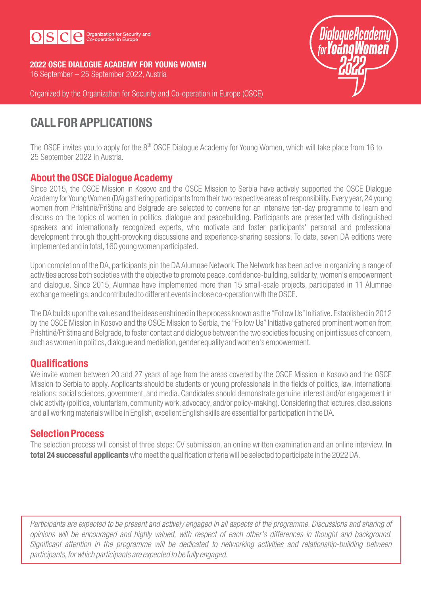

2022 OSCE DIALOGUE ACADEMY FOR YOUNG WOMEN 16 September – 25 September 2022, Austria



Organized by the Organization for Security and Co-operation in Europe (OSCE)

# CALL FOR APPLICATIONS

The OSCE invites you to apply for the 8<sup>th</sup> OSCE Dialogue Academy for Young Women, which will take place from 16 to 25 September 2022 in Austria.

# About the OSCE Dialogue Academy

Since 2015, the OSCE Mission in Kosovo and the OSCE Mission to Serbia have actively supported the OSCE Dialogue Academy for Young Women (DA) gathering participants from their two respective areas of responsibility. Every year,24 young women from Prishtinë/Priština and Belgrade are selected to convene for an intensive ten-day programme to learn and discuss on the topics of women in politics, dialogue and peacebuilding. Participants are presented with distinguished speakers and internationally recognized experts, who motivate and foster participants' personal and professional development through thought-provoking discussions and experience-sharing sessions. To date, seven DA editions were implemented and in total,160 young women participated.

Upon completion of the DA, participants join the DA Alumnae Network.The Network has been active in organizing a range of activities across both societies with the objective to promote peace, confidence-building, solidarity, women's empowerment and dialogue. Since 2015, Alumnae have implemented more than 15 small-scale projects, participated in 11 Alumnae exchange meetings, and contributed to different events in close co-operation with the OSCE.

The DA builds upon the values and the ideas enshrined in the process known as the "Follow Us"Initiative. Established in 2012 by the OSCE Mission in Kosovo and the OSCE Mission to Serbia, the "Follow Us"Initiative gathered prominent women from Prishtinë/Priština and Belgrade, to foster contact and dialogue between the two societies focusing on joint issues of concern, such as women in politics, dialogue and mediation, gender equality and women's empowerment.

# **Qualifications**

We invite women between 20 and 27 years of age from the areas covered by the OSCE Mission in Kosovo and the OSCE Mission to Serbia to apply. Applicants should be students or young professionals in the fields of politics, law, international relations, social sciences, government, and media. Candidates should demonstrate genuine interest and/or engagement in civic activity (politics,voluntarism, community work, advocacy, and/or policy-making).Considering that lectures, discussions and all working materials will be in English, excellent English skills are essential for participation in the DA.

# Selection Process

The selection process will consist of three steps: CV submission, an online written examination and an online interview. In total 24 successful applicants who meet the qualification criteria will be selected to participate in the 2022 DA.

Participants are expected to be present and actively engaged in all aspects of the programme. Discussions and sharing of opinions will be encouraged and highly valued, with respect of each other's differences in thought and background. Significant attention in the programme will be dedicated to networking activities and relationship-building between participants, for which participants are expected to be fully engaged.